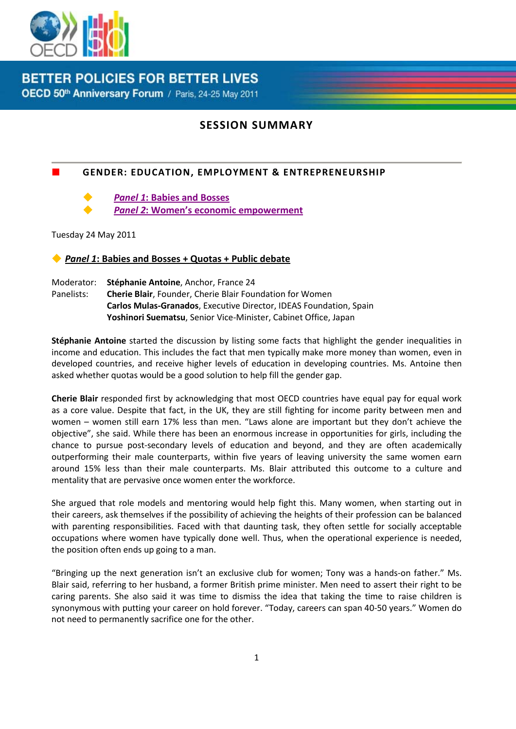

**BETTER POLICIES FOR BETTER LIVES** OECD 50th Anniversary Forum / Paris, 24-25 May 2011

## **SESSION SUMMARY**

## **GENDER: EDUCATION, EMPLOYMENT & ENTREPRENEURSHIP**

*Panel 1***[: Babies and Bosses](#page-0-0)**

*Panel 2***[: Women's economic empowerment](#page-2-0)**

Tuesday 24 May 2011

<span id="page-0-0"></span>*Panel 1***: Babies and Bosses + Quotas + Public debate**

Moderator: **Stéphanie Antoine**, Anchor, France 24 Panelists: **Cherie Blair**, Founder, Cherie Blair Foundation for Women **Carlos Mulas-Granados**, Executive Director, IDEAS Foundation, Spain **Yoshinori Suematsu**, Senior Vice-Minister, Cabinet Office, Japan

**Stéphanie Antoine** started the discussion by listing some facts that highlight the gender inequalities in income and education. This includes the fact that men typically make more money than women, even in developed countries, and receive higher levels of education in developing countries. Ms. Antoine then asked whether quotas would be a good solution to help fill the gender gap.

**Cherie Blair** responded first by acknowledging that most OECD countries have equal pay for equal work as a core value. Despite that fact, in the UK, they are still fighting for income parity between men and women – women still earn 17% less than men. "Laws alone are important but they don't achieve the objective", she said. While there has been an enormous increase in opportunities for girls, including the chance to pursue post-secondary levels of education and beyond, and they are often academically outperforming their male counterparts, within five years of leaving university the same women earn around 15% less than their male counterparts. Ms. Blair attributed this outcome to a culture and mentality that are pervasive once women enter the workforce.

She argued that role models and mentoring would help fight this. Many women, when starting out in their careers, ask themselves if the possibility of achieving the heights of their profession can be balanced with parenting responsibilities. Faced with that daunting task, they often settle for socially acceptable occupations where women have typically done well. Thus, when the operational experience is needed, the position often ends up going to a man.

"Bringing up the next generation isn't an exclusive club for women; Tony was a hands-on father." Ms. Blair said, referring to her husband, a former British prime minister. Men need to assert their right to be caring parents. She also said it was time to dismiss the idea that taking the time to raise children is synonymous with putting your career on hold forever. "Today, careers can span 40-50 years." Women do not need to permanently sacrifice one for the other.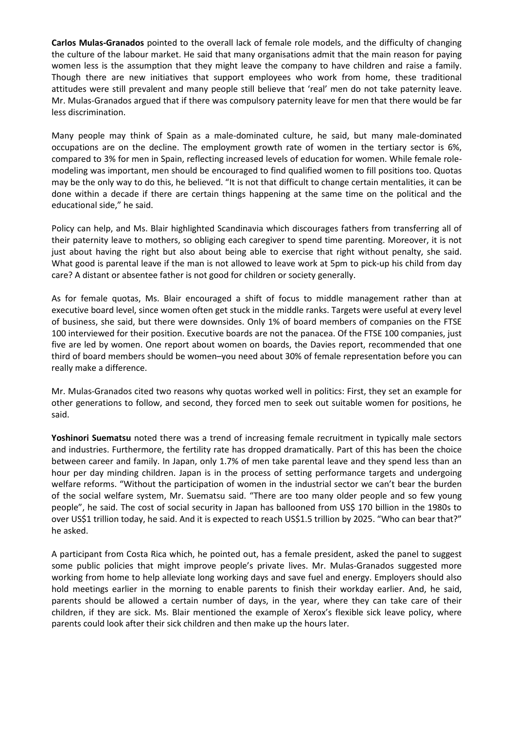**Carlos Mulas-Granados** pointed to the overall lack of female role models, and the difficulty of changing the culture of the labour market. He said that many organisations admit that the main reason for paying women less is the assumption that they might leave the company to have children and raise a family. Though there are new initiatives that support employees who work from home, these traditional attitudes were still prevalent and many people still believe that 'real' men do not take paternity leave. Mr. Mulas-Granados argued that if there was compulsory paternity leave for men that there would be far less discrimination.

Many people may think of Spain as a male-dominated culture, he said, but many male-dominated occupations are on the decline. The employment growth rate of women in the tertiary sector is 6%, compared to 3% for men in Spain, reflecting increased levels of education for women. While female rolemodeling was important, men should be encouraged to find qualified women to fill positions too. Quotas may be the only way to do this, he believed. "It is not that difficult to change certain mentalities, it can be done within a decade if there are certain things happening at the same time on the political and the educational side," he said.

Policy can help, and Ms. Blair highlighted Scandinavia which discourages fathers from transferring all of their paternity leave to mothers, so obliging each caregiver to spend time parenting. Moreover, it is not just about having the right but also about being able to exercise that right without penalty, she said. What good is parental leave if the man is not allowed to leave work at 5pm to pick-up his child from day care? A distant or absentee father is not good for children or society generally.

As for female quotas, Ms. Blair encouraged a shift of focus to middle management rather than at executive board level, since women often get stuck in the middle ranks. Targets were useful at every level of business, she said, but there were downsides. Only 1% of board members of companies on the FTSE 100 interviewed for their position. Executive boards are not the panacea. Of the FTSE 100 companies, just five are led by women. One report about women on boards, the Davies report, recommended that one third of board members should be women–you need about 30% of female representation before you can really make a difference.

Mr. Mulas-Granados cited two reasons why quotas worked well in politics: First, they set an example for other generations to follow, and second, they forced men to seek out suitable women for positions, he said.

**Yoshinori Suematsu** noted there was a trend of increasing female recruitment in typically male sectors and industries. Furthermore, the fertility rate has dropped dramatically. Part of this has been the choice between career and family. In Japan, only 1.7% of men take parental leave and they spend less than an hour per day minding children. Japan is in the process of setting performance targets and undergoing welfare reforms. "Without the participation of women in the industrial sector we can't bear the burden of the social welfare system, Mr. Suematsu said. "There are too many older people and so few young people", he said. The cost of social security in Japan has ballooned from US\$ 170 billion in the 1980s to over US\$1 trillion today, he said. And it is expected to reach US\$1.5 trillion by 2025. "Who can bear that?" he asked.

A participant from Costa Rica which, he pointed out, has a female president, asked the panel to suggest some public policies that might improve people's private lives. Mr. Mulas-Granados suggested more working from home to help alleviate long working days and save fuel and energy. Employers should also hold meetings earlier in the morning to enable parents to finish their workday earlier. And, he said, parents should be allowed a certain number of days, in the year, where they can take care of their children, if they are sick. Ms. Blair mentioned the example of Xerox's flexible sick leave policy, where parents could look after their sick children and then make up the hours later.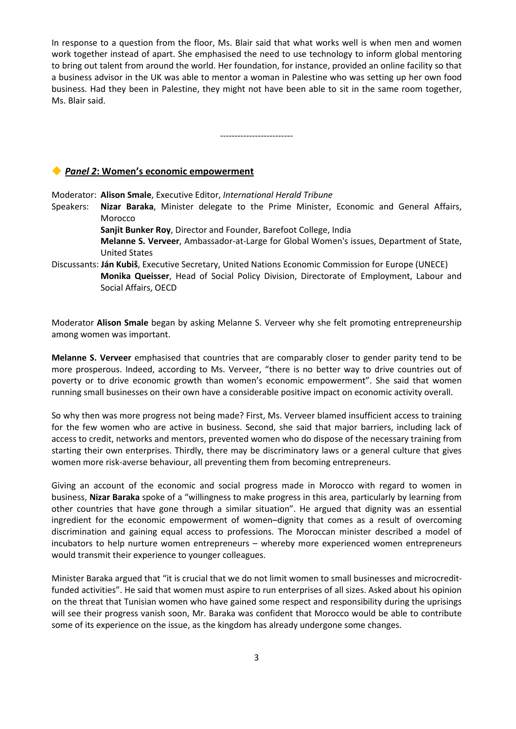In response to a question from the floor, Ms. Blair said that what works well is when men and women work together instead of apart. She emphasised the need to use technology to inform global mentoring to bring out talent from around the world. Her foundation, for instance, provided an online facility so that a business advisor in the UK was able to mentor a woman in Palestine who was setting up her own food business. Had they been in Palestine, they might not have been able to sit in the same room together, Ms. Blair said.

-------------------------

## <span id="page-2-0"></span>*Panel 2***: Women's economic empowerment**

Moderator: **Alison Smale**, Executive Editor, *International Herald Tribune*

- Speakers: **Nizar Baraka**, Minister delegate to the Prime Minister, Economic and General Affairs, Morocco
	- **Sanjit Bunker Roy**, Director and Founder, Barefoot College, India

**Melanne S. Verveer**, Ambassador-at-Large for Global Women's issues, Department of State, United States

Discussants: **Ján Kubiš**, Executive Secretary, United Nations Economic Commission for Europe (UNECE) **Monika Queisser**, Head of Social Policy Division, Directorate of Employment, Labour and Social Affairs, OECD

Moderator **Alison Smale** began by asking Melanne S. Verveer why she felt promoting entrepreneurship among women was important.

**Melanne S. Verveer** emphasised that countries that are comparably closer to gender parity tend to be more prosperous. Indeed, according to Ms. Verveer, "there is no better way to drive countries out of poverty or to drive economic growth than women's economic empowerment". She said that women running small businesses on their own have a considerable positive impact on economic activity overall.

So why then was more progress not being made? First, Ms. Verveer blamed insufficient access to training for the few women who are active in business. Second, she said that major barriers, including lack of access to credit, networks and mentors, prevented women who do dispose of the necessary training from starting their own enterprises. Thirdly, there may be discriminatory laws or a general culture that gives women more risk-averse behaviour, all preventing them from becoming entrepreneurs.

Giving an account of the economic and social progress made in Morocco with regard to women in business, **Nizar Baraka** spoke of a "willingness to make progress in this area, particularly by learning from other countries that have gone through a similar situation". He argued that dignity was an essential ingredient for the economic empowerment of women–dignity that comes as a result of overcoming discrimination and gaining equal access to professions. The Moroccan minister described a model of incubators to help nurture women entrepreneurs – whereby more experienced women entrepreneurs would transmit their experience to younger colleagues.

Minister Baraka argued that "it is crucial that we do not limit women to small businesses and microcreditfunded activities". He said that women must aspire to run enterprises of all sizes. Asked about his opinion on the threat that Tunisian women who have gained some respect and responsibility during the uprisings will see their progress vanish soon, Mr. Baraka was confident that Morocco would be able to contribute some of its experience on the issue, as the kingdom has already undergone some changes.